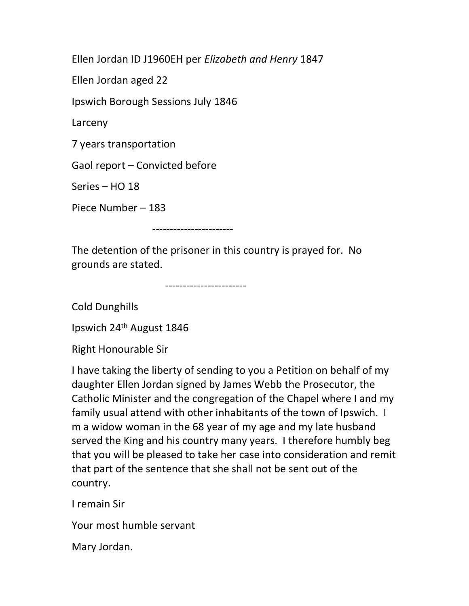Ellen Jordan ID J1960EH per Elizabeth and Henry 1847

Ellen Jordan aged 22

Ipswich Borough Sessions July 1846

Larceny

7 years transportation

Gaol report – Convicted before

Series – HO 18

Piece Number – 183

-----------------------

The detention of the prisoner in this country is prayed for. No grounds are stated.

-----------------------

Cold Dunghills

Ipswich 24th August 1846

Right Honourable Sir

I have taking the liberty of sending to you a Petition on behalf of my daughter Ellen Jordan signed by James Webb the Prosecutor, the Catholic Minister and the congregation of the Chapel where I and my family usual attend with other inhabitants of the town of Ipswich. I m a widow woman in the 68 year of my age and my late husband served the King and his country many years. I therefore humbly beg that you will be pleased to take her case into consideration and remit that part of the sentence that she shall not be sent out of the country.

I remain Sir

Your most humble servant

Mary Jordan.